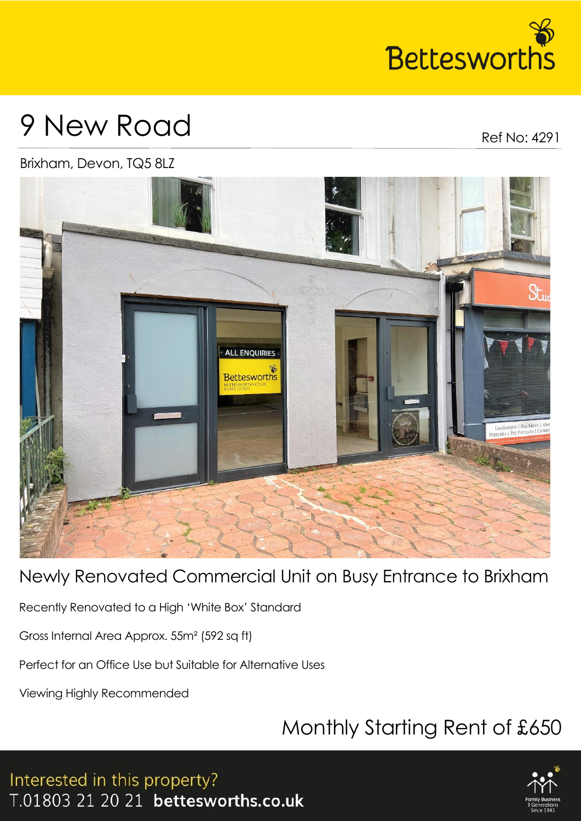

# 9 New Road

Ref No: 4291

### Brixham, Devon, TQ5 8LZ



### Newly Renovated Commercial Unit on Busy Entrance to Brixham

Recently Renovated to a High 'White Box' Standard

Gross Internal Area Approx. 55m² (592 sq ft)

Perfect for an Office Use but Suitable for Alternative Uses

Viewing Highly Recommended

# Monthly Starting Rent of £650

Interested in this property? T.01803 21 20 21 bettesworths.co.uk